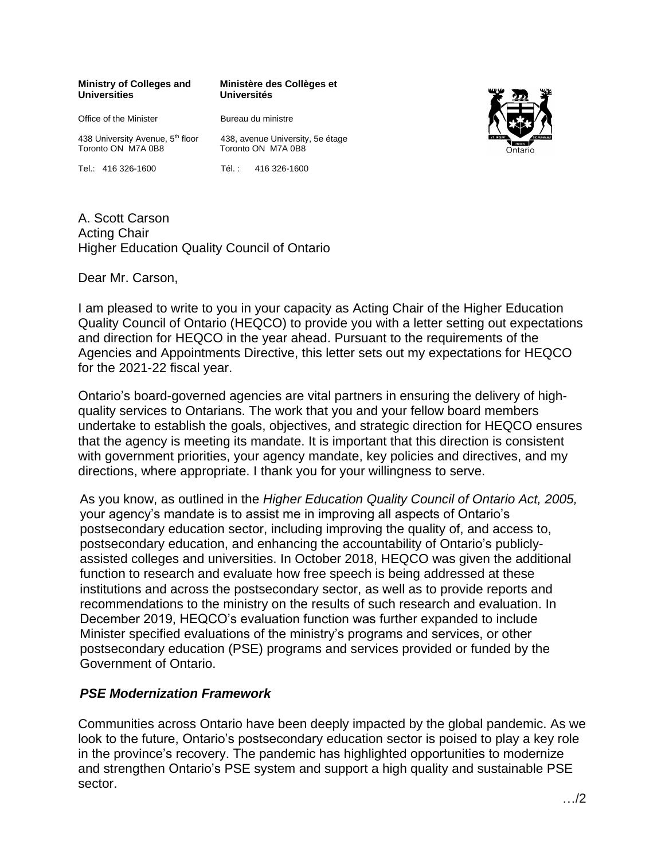#### **Ministry of Colleges and Universities**

**Ministère des Collèges et Universités**

Office of the Minister 438 University Avenue, 5<sup>th</sup> floor Toronto ON M7A 0B8

Tel.: 416 326-1600

Bureau du ministre

438, avenue University, 5e étage Toronto ON M7A 0B8

Tél. : 416 326-1600

Higher Education Quality Council of Ontario A. Scott Carson Acting Chair

Dear Mr. Carson,

I am pleased to write to you in your capacity as Acting Chair of the Higher Education Quality Council of Ontario (HEQCO) to provide you with a letter setting out expectations and direction for HEQCO in the year ahead. Pursuant to the requirements of the Agencies and Appointments Directive, this letter sets out my expectations for HEQCO for the 2021-22 fiscal year.

Ontario's board-governed agencies are vital partners in ensuring the delivery of highquality services to Ontarians. The work that you and your fellow board members undertake to establish the goals, objectives, and strategic direction for HEQCO ensures that the agency is meeting its mandate. It is important that this direction is consistent with government priorities, your agency mandate, key policies and directives, and my directions, where appropriate. I thank you for your willingness to serve.

As you know, as outlined in the *Higher Education Quality Council of Ontario Act, 2005,*  your agency's mandate is to assist me in improving all aspects of Ontario's postsecondary education sector, including improving the quality of, and access to, postsecondary education, and enhancing the accountability of Ontario's publiclyassisted colleges and universities. In October 2018, HEQCO was given the additional function to research and evaluate how free speech is being addressed at these institutions and across the postsecondary sector, as well as to provide reports and recommendations to the ministry on the results of such research and evaluation. In December 2019, HEQCO's evaluation function was further expanded to include Minister specified evaluations of the ministry's programs and services, or other postsecondary education (PSE) programs and services provided or funded by the Government of Ontario.

# *PSE Modernization Framework*

Communities across Ontario have been deeply impacted by the global pandemic. As we look to the future, Ontario's postsecondary education sector is poised to play a key role in the province's recovery. The pandemic has highlighted opportunities to modernize and strengthen Ontario's PSE system and support a high quality and sustainable PSE sector.

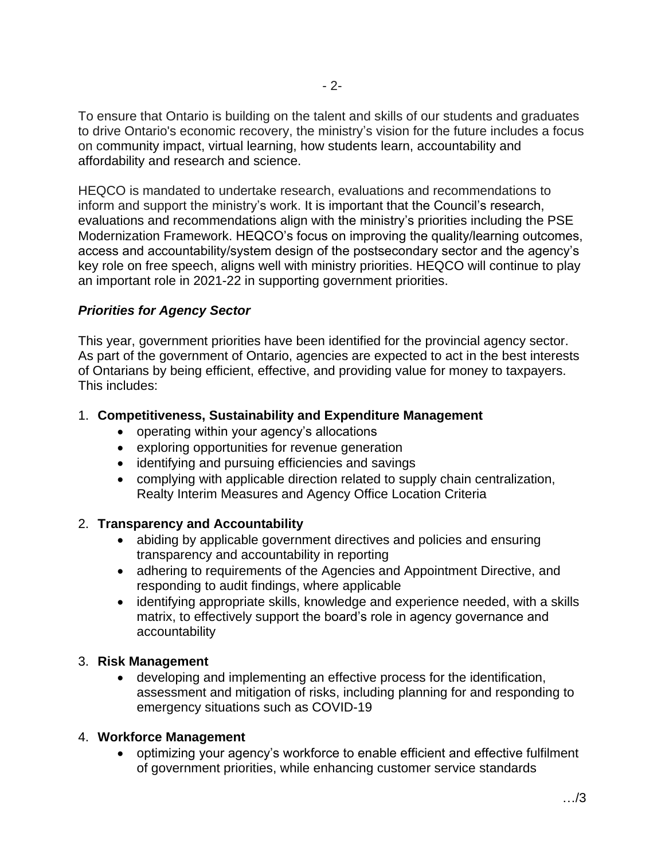To ensure that Ontario is building on the talent and skills of our students and graduates to drive Ontario's economic recovery, the ministry's vision for the future includes a focus on community impact, virtual learning, how students learn, accountability and affordability and research and science.

HEQCO is mandated to undertake research, evaluations and recommendations to inform and support the ministry's work. It is important that the Council's research, evaluations and recommendations align with the ministry's priorities including the PSE Modernization Framework. HEQCO's focus on improving the quality/learning outcomes, access and accountability/system design of the postsecondary sector and the agency's key role on free speech, aligns well with ministry priorities. HEQCO will continue to play an important role in 2021-22 in supporting government priorities.

## *Priorities for Agency Sector*

This year, government priorities have been identified for the provincial agency sector. As part of the government of Ontario, agencies are expected to act in the best interests of Ontarians by being efficient, effective, and providing value for money to taxpayers. This includes:

### 1. **Competitiveness, Sustainability and Expenditure Management**

- operating within your agency's allocations
- exploring opportunities for revenue generation
- identifying and pursuing efficiencies and savings
- complying with applicable direction related to supply chain centralization, Realty Interim Measures and Agency Office Location Criteria

### 2. **Transparency and Accountability**

- abiding by applicable government directives and policies and ensuring transparency and accountability in reporting
- adhering to requirements of the Agencies and Appointment Directive, and responding to audit findings, where applicable
- identifying appropriate skills, knowledge and experience needed, with a skills matrix, to effectively support the board's role in agency governance and accountability

### 3. **Risk Management**

• developing and implementing an effective process for the identification, assessment and mitigation of risks, including planning for and responding to emergency situations such as COVID-19

### 4. **Workforce Management**

• optimizing your agency's workforce to enable efficient and effective fulfilment of government priorities, while enhancing customer service standards